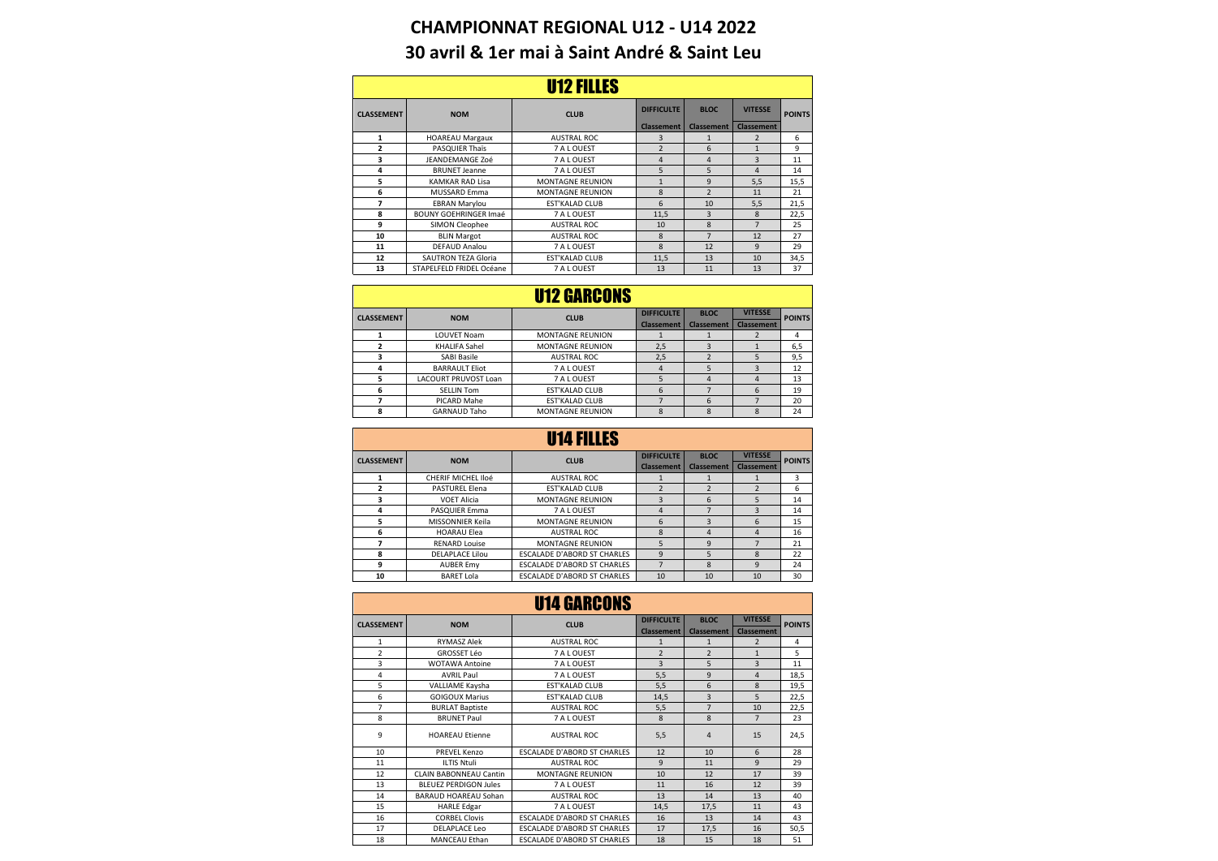## **CHAMPIONNAT REGIONAL U12 - U14 2022 30 avril & 1er mai à Saint André & Saint Leu**

| U12 FILLES        |                              |                         |                   |                   |                |               |  |
|-------------------|------------------------------|-------------------------|-------------------|-------------------|----------------|---------------|--|
| <b>CLASSEMENT</b> | <b>NOM</b>                   | <b>CLUB</b>             | <b>DIFFICULTE</b> | <b>BLOC</b>       | <b>VITESSE</b> | <b>POINTS</b> |  |
|                   |                              | <b>Classement</b>       | <b>Classement</b> | <b>Classement</b> |                |               |  |
| 1                 | <b>HOAREAU Margaux</b>       | <b>AUSTRAL ROC</b>      | 3                 | 1                 | $\overline{2}$ | 6             |  |
| $\overline{a}$    | <b>PASQUIER Thaïs</b>        | 7 A L OUEST             | $\overline{2}$    | 6                 | $\mathbf{1}$   | 9             |  |
| 3                 | JEANDEMANGE Zoé              | 7 A L OUEST             | 4                 | 4                 | 3              | 11            |  |
| 4                 | <b>BRUNET Jeanne</b>         | 7 A L OUEST             | 5                 | 5                 | 4              | 14            |  |
| 5                 | KAMKAR RAD Lisa              | <b>MONTAGNE REUNION</b> | $\mathbf{1}$      | 9                 | 5,5            | 15,5          |  |
| 6                 | <b>MUSSARD Emma</b>          | <b>MONTAGNE REUNION</b> | 8                 | $\overline{2}$    | 11             | 21            |  |
| 7                 | <b>EBRAN Marylou</b>         | <b>EST'KALAD CLUB</b>   | 6                 | 10                | 5,5            | 21,5          |  |
| 8                 | <b>BOUNY GOEHRINGER Imaé</b> | 7 A L OUEST             | 11,5              | 3                 | 8              | 22,5          |  |
| 9                 | SIMON Cleophee               | <b>AUSTRAL ROC</b>      | 10                | 8                 | $\overline{7}$ | 25            |  |
| 10                | <b>BLIN Margot</b>           | <b>AUSTRAL ROC</b>      | $\mathbf{8}$      | $\overline{7}$    | 12             | 27            |  |
| 11                | DEFAUD Analou                | 7 A L OUEST             | 8                 | 12                | 9              | 29            |  |
| 12                | <b>SAUTRON TEZA Gloria</b>   | <b>EST'KALAD CLUB</b>   | 11,5              | 13                | 10             | 34,5          |  |
| 13                | STAPELFELD FRIDEL Océane     | 7 A L OUEST             | 13                | 11                | 13             | 37            |  |

## **DIFFICULTE BLOC**<br>**Classement Classeme Classement Classem**<br> **Classement Classem** 1 LOUVET Noam MONTAGNE REUNION 1 1 2 4<br>2 KHALIFA Sahel MONTAGNE REUNION 2,5 3 1 6,5 **2** KHALIFA Sahel MONTAGNE REUNION 2,5 3 1 6,5<br> **3** SABI Basile AUSTRAL ROC 2,5 2 5 9,5 **3** SABI Basile AUSTRAL ROC 2,5 2 5 9,5<br> **4** BARRAULT Eliot 7 A L OUEST 4 5 3 12 4 BARRAULT Eliot 7 A L OUEST 4 5 3 12<br>
5 LACOURT PRUVOST Loan 7 A L OUEST 5 4 4 13<br>
6 SELLIN Tom EST KALAD CLUB 6 7 6 19<br>
7 PICARD Mahe EST KALAD CLUB 7 6 7 20 **5** LACOURT PRUVOST Loan 7 A LOUEST 5 4 4 4<br>**6** SELLIN Tom 5 EST KALAD CLUB 6 7 6 **6** SELLIN Tom EST'KALAD CLUB 6 7 6<br> **7** PICARD Mahe EST'KALAD CLUB 7 6 7 **7** PICARD Mahe EST'KALAD CLUB 7 6 7 20<br> **8** GARNAUD Taho MONTAGNE REUNION 8 8 8 8 24 GARNAUD Taho MONTAGNE REUNION U12 GARCONS **CLASSEMENT NOM CLUB VITESSE POINTS**

| U14 FILLES        |                           |                                    |                   |                         |                   |               |  |
|-------------------|---------------------------|------------------------------------|-------------------|-------------------------|-------------------|---------------|--|
| <b>CLASSEMENT</b> | <b>NOM</b>                | <b>CLUB</b>                        | <b>DIFFICULTE</b> | <b>BLOC</b>             | <b>VITESSE</b>    | <b>POINTS</b> |  |
|                   |                           |                                    | <b>Classement</b> | <b>Classement</b>       | <b>Classement</b> |               |  |
|                   | <b>CHERIF MICHEL Iloé</b> | <b>AUSTRAL ROC</b>                 |                   |                         |                   | 3             |  |
| $\overline{2}$    | <b>PASTUREL Elena</b>     | <b>EST'KALAD CLUB</b>              | $\overline{2}$    | $\overline{\mathbf{c}}$ | $\overline{2}$    | 6             |  |
| 3                 | <b>VOET Alicia</b>        | <b>MONTAGNE REUNION</b>            | 3                 | 6                       | 5                 | 14            |  |
| 4                 | PASQUIER Emma             | 7 A L OUEST                        | 4                 |                         | 3                 | 14            |  |
| 5                 | MISSONNIER Keila          | <b>MONTAGNE REUNION</b>            | 6                 | 3                       | 6                 | 15            |  |
| 6                 | <b>HOARAU Elea</b>        | <b>AUSTRAL ROC</b>                 | 8                 | $\overline{a}$          | 4                 | 16            |  |
| 7                 | <b>RENARD Louise</b>      | <b>MONTAGNE REUNION</b>            | 5                 | 9                       |                   | 21            |  |
| 8                 | <b>DELAPLACE Lilou</b>    | <b>ESCALADE D'ABORD ST CHARLES</b> | 9                 | 5                       | 8                 | 22            |  |
| 9                 | <b>AUBER Emv</b>          | <b>ESCALADE D'ABORD ST CHARLES</b> |                   | 8                       | 9                 | 24            |  |
| 10                | <b>BARET Lola</b>         | <b>ESCALADE D'ABORD ST CHARLES</b> | 10                | 10                      | 10                | 30            |  |

| <b>U14 GARCONS</b> |                              |                                    |                   |                   |                   |               |  |
|--------------------|------------------------------|------------------------------------|-------------------|-------------------|-------------------|---------------|--|
| <b>CLASSEMENT</b>  | <b>NOM</b>                   | <b>CLUB</b>                        | <b>DIFFICULTE</b> | <b>BLOC</b>       | <b>VITESSE</b>    | <b>POINTS</b> |  |
|                    |                              |                                    | <b>Classement</b> | <b>Classement</b> | <b>Classement</b> |               |  |
| $\mathbf{1}$       | <b>RYMASZ Alek</b>           | AUSTRAL ROC                        | $\mathbf{1}$      | $\mathbf{1}$      | $\overline{2}$    | 4             |  |
| $\overline{2}$     | <b>GROSSET Léo</b>           | 7 A L OUEST                        | $\overline{2}$    | $\overline{2}$    | $\mathbf{1}$      | 5             |  |
| 3                  | <b>WOTAWA Antoine</b>        | <b>7 A L OUEST</b>                 | $\overline{3}$    | 5                 | $\overline{3}$    | 11            |  |
| 4                  | <b>AVRIL Paul</b>            | 7 A L OUEST                        | 5,5               | 9                 | 4                 | 18,5          |  |
| 5                  | VALLIAME Kaysha              | <b>EST'KALAD CLUB</b>              | 5,5               | 6                 | 8                 | 19,5          |  |
| 6                  | <b>GOIGOUX Marius</b>        | <b>EST'KALAD CLUB</b>              | 14,5              | 3                 | 5                 | 22,5          |  |
| $\overline{7}$     | <b>BURLAT Baptiste</b>       | AUSTRAL ROC                        | 5,5               | $\overline{7}$    | 10                | 22,5          |  |
| 8                  | <b>BRUNET Paul</b>           | 7 A L OUEST                        | 8                 | 8                 | $\overline{7}$    | 23            |  |
| 9                  | <b>HOARFAU Etienne</b>       | <b>AUSTRAL ROC</b>                 | 5,5               | 4                 | 15                | 24,5          |  |
| 10                 | PREVEL Kenzo                 | <b>ESCALADE D'ABORD ST CHARLES</b> | 12                | 10                | 6                 | 28            |  |
| 11                 | <b>ILTIS Ntuli</b>           | AUSTRAL ROC                        | 9                 | 11                | 9                 | 29            |  |
| 12                 | CLAIN BABONNEAU Cantin       | <b>MONTAGNE REUNION</b>            | 10                | 12                | 17                | 39            |  |
| 13                 | <b>BLEUEZ PERDIGON Jules</b> | 7 A L OUEST                        | 11                | 16                | 12                | 39            |  |
| 14                 | <b>BARAUD HOARFAU Sohan</b>  | <b>AUSTRAL ROC</b>                 | 13                | 14                | 13                | 40            |  |
| 15                 | <b>HARLE Edgar</b>           | 7 A L OUEST                        | 14,5              | 17,5              | 11                | 43            |  |
| 16                 | <b>CORBEL Clovis</b>         | <b>ESCALADE D'ABORD ST CHARLES</b> | 16                | 13                | 14                | 43            |  |
| 17                 | <b>DELAPLACE Leo</b>         | <b>ESCALADE D'ABORD ST CHARLES</b> | 17                | 17,5              | 16                | 50,5          |  |
| 18                 | <b>MANCEAU Ethan</b>         | <b>ESCALADE D'ABORD ST CHARLES</b> | 18                | 15                | 18                | 51            |  |